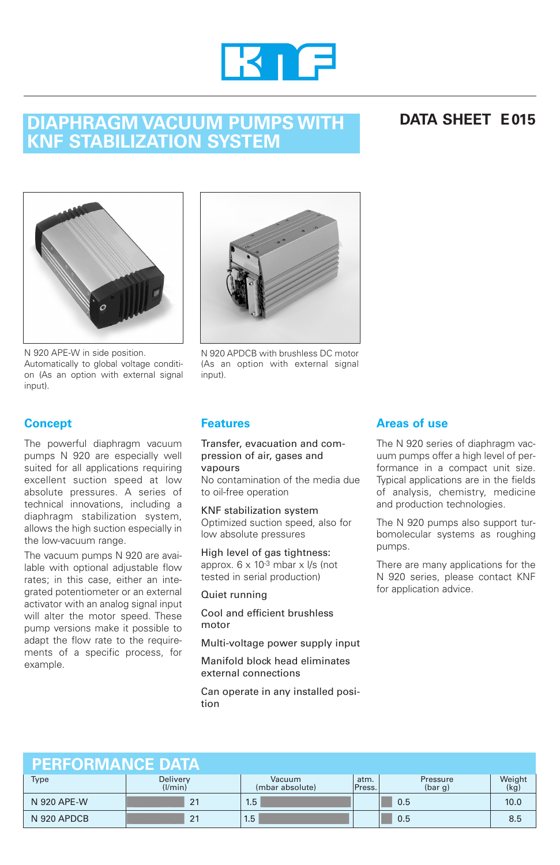

### **DIAPHRAGM VACUUM PUMPS WITH KNF STABILIZATION SYSTEM**

### **DATA SHEET E015**



N 920 APE-W in side position. Automatically to global voltage condition (As an option with external signal input).



N 920 APDCB with brushless DC motor (As an option with external signal input).

### **Concept**

The powerful diaphragm vacuum pumps N 920 are especially well suited for all applications requiring excellent suction speed at low absolute pressures. A series of technical innovations, including a diaphragm stabilization system, allows the high suction especially in the low-vacuum range.

The vacuum pumps N 920 are available with optional adjustable flow rates; in this case, either an integrated potentiometer or an external activator with an analog signal input will alter the motor speed. These pump versions make it possible to adapt the flow rate to the requirements of a specific process, for example.

### **Features**

Transfer, evacuation and compression of air, gases and vapours

No contamination of the media due to oil-free operation

KNF stabilization system Optimized suction speed, also for low absolute pressures

High level of gas tightness: approx.  $6 \times 10^{-3}$  mbar  $\times$  l/s (not tested in serial production)

#### Quiet running

Cool and efficient brushless motor

Multi-voltage power supply input

Manifold block head eliminates external connections

Can operate in any installed position

### **Areas of use**

The N 920 series of diaphragm vacuum pumps offer a high level of performance in a compact unit size. Typical applications are in the fields of analysis, chemistry, medicine and production technologies.

The N 920 pumps also support turbomolecular systems as roughing pumps.

There are many applications for the N 920 series, please contact KNF for application advice.

| <b>PERFORMANCE DATA</b> |                     |                           |                |                     |                |
|-------------------------|---------------------|---------------------------|----------------|---------------------|----------------|
| <b>Type</b>             | Delivery<br>(1/min) | Vacuum<br>(mbar absolute) | atm.<br>Press. | Pressure<br>(bar g) | Weight<br>(kg) |
| N 920 APE-W             | 21                  | 1.5                       |                | 0.5                 | 10.0           |
| N 920 APDCB             | 21                  | 1.5                       |                | 0.5                 | 8.5            |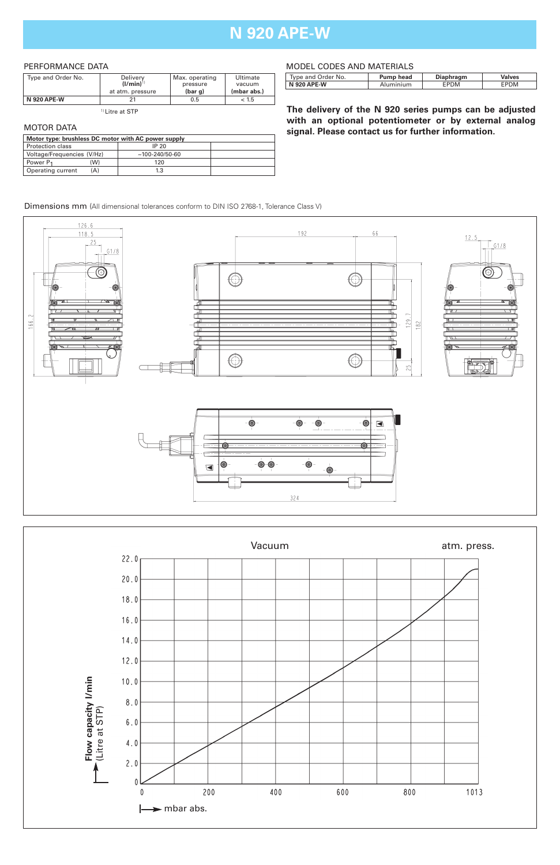## **N 920 APE-W**

#### PERFORMANCE DATA

| Type and Order No. | Delivery         | Max. operating | Ultimate    |
|--------------------|------------------|----------------|-------------|
|                    | $(1/min)^{1}$    | pressure       | vacuum      |
|                    | at atm. pressure | (bar g)        | (mbar abs.) |
| <b>N 920 APE-W</b> | າ.               | 0.5            | < 1.5       |

1) Litre at STP

#### MOTOR DATA

| Motor type: brushless DC motor with AC power supply |     |                      |  |
|-----------------------------------------------------|-----|----------------------|--|
| Protection class                                    |     | IP 20                |  |
| Voltage/Frequencies (V/Hz)                          |     | $~100 - 240/50 - 60$ |  |
| Power P <sub>1</sub>                                | W)  | 120                  |  |
| Operating current                                   | (A) | 1.3                  |  |

#### MODEL CODES AND MATERIALS

| Type and Order No. | <b>Pump head</b> | Diaphragm | /alves |
|--------------------|------------------|-----------|--------|
| <b>N 920 APE-W</b> | 'uminium         | PDM       |        |

**The delivery of the N 920 series pumps can be adjusted with an optional potentiometer or by external analog signal. Please contact us for further information.**

#### Dimensions mm (All dimensional tolerances conform to DIN ISO 2768-1, Tolerance Class V)



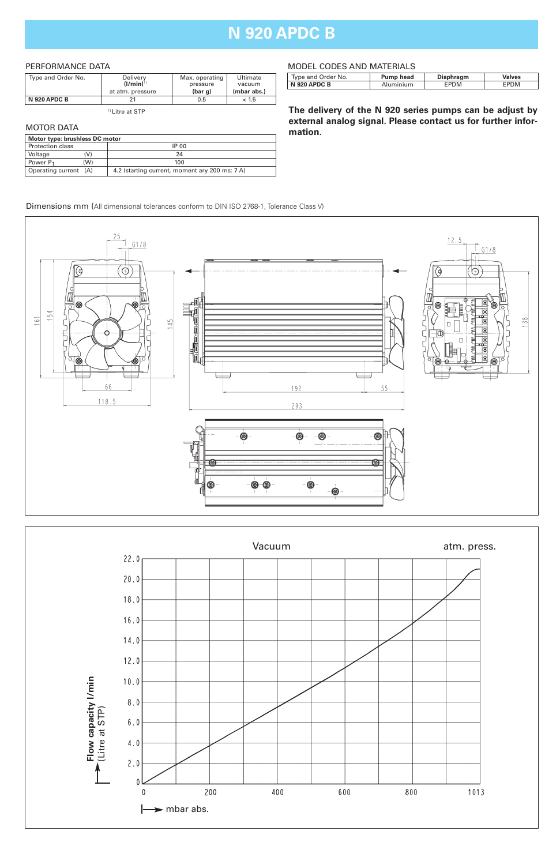## **N 920 APDC B**

#### PERFORMANCE DATA

| Type and Order No.  | Delivery<br>$($ l/min $)$ <sup>1)</sup> | Max. operating<br>pressure | Ultimate<br>vacuum |
|---------------------|-----------------------------------------|----------------------------|--------------------|
|                     | at atm. pressure                        | (bar <sub>a</sub> )        | (mbar abs.)        |
| <b>N 920 APDC B</b> | 21                                      | 0.5                        | < 1.5              |

1) Litre at STP

#### MOTOR DATA

| Motor type: brushless DC motor |                                                |  |  |
|--------------------------------|------------------------------------------------|--|--|
| Protection class               | IP 00                                          |  |  |
| V)<br>Voltage                  | 24                                             |  |  |
| Power P <sub>1</sub><br>(W)    | 100                                            |  |  |
| Operating current (A)          | 4.2 (starting current, moment ary 200 ms: 7 A) |  |  |

#### MODEL CODES AND MATERIALS

| Type and Order No. | Pump head | Diaphragm | Valves |
|--------------------|-----------|-----------|--------|
| N 920 APDC B       | Aluminium | EPDM      | EPDM   |
|                    |           |           |        |

**The delivery of the N 920 series pumps can be adjust by external analog signal. Please contact us for further information.**

Dimensions mm (All dimensional tolerances conform to DIN ISO 2768-1, Tolerance Class V)



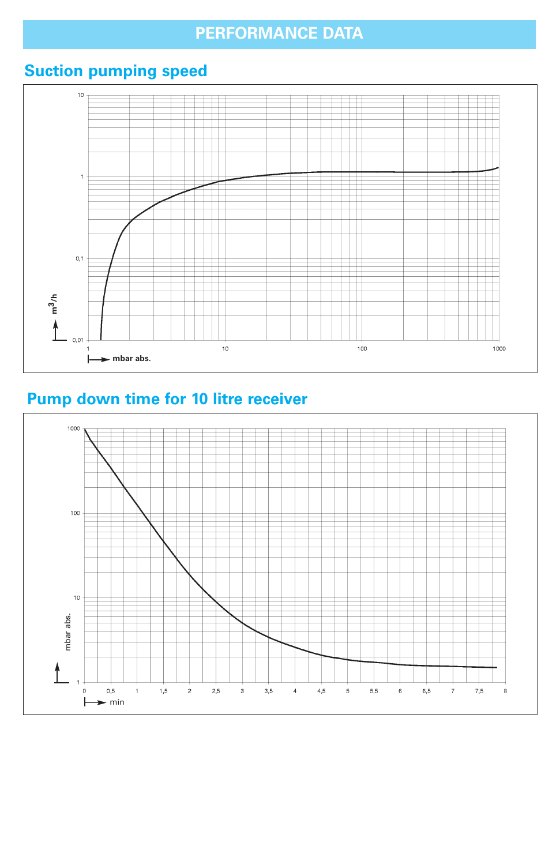# **PERFORMANCE DATA**

# **Suction pumping speed**



# **Pump down time for 10 litre receiver**

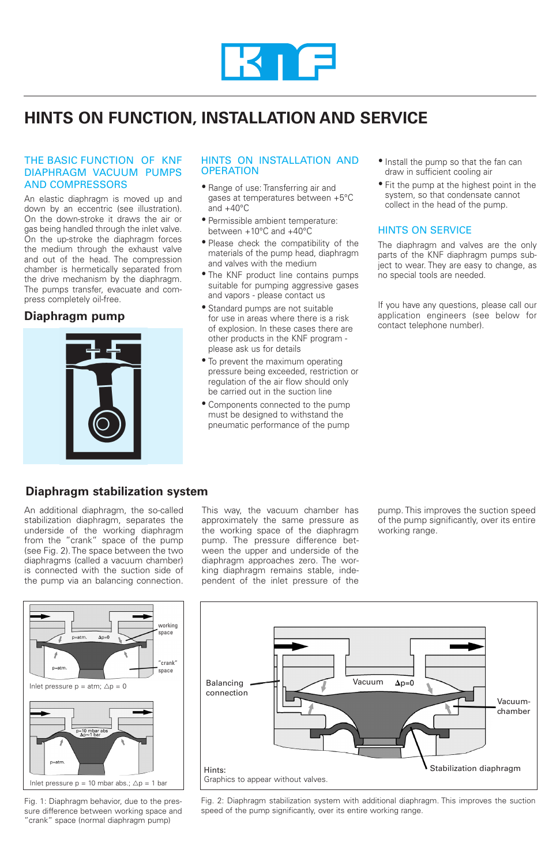

## **HINTS ON FUNCTION, INSTALLATION AND SERVICE**

#### THE BASIC FUNCTION OF KNF DIAPHRAGM VACUUM PUMPS AND COMPRESSORS

An elastic diaphragm is moved up and down by an eccentric (see illustration). On the down-stroke it draws the air or gas being handled through the inlet valve. On the up-stroke the diaphragm forces the medium through the exhaust valve and out of the head. The compression chamber is hermetically separated from the drive mechanism by the diaphragm. The pumps transfer, evacuate and compress completely oil-free.

#### **Diaphragm pump**



#### HINTS ON INSTALLATION AND **OPERATION**

- Range of use: Transferring air and gases at temperatures between +5°C and  $+40^{\circ}$ C
- Permissible ambient temperature: between +10°C and +40°C
- Please check the compatibility of the materials of the pump head, diaphragm and valves with the medium
- The KNF product line contains pumps suitable for pumping aggressive gases and vapors - please contact us
- Standard pumps are not suitable for use in areas where there is a risk of explosion. In these cases there are other products in the KNF program please ask us for details
- To prevent the maximum operating pressure being exceeded, restriction or regulation of the air flow should only be carried out in the suction line
- Components connected to the pump must be designed to withstand the pneumatic performance of the pump
- Install the pump so that the fan can draw in sufficient cooling air
- Fit the pump at the highest point in the system, so that condensate cannot collect in the head of the pump.

#### HINTS ON SERVICE

The diaphragm and valves are the only parts of the KNF diaphragm pumps subject to wear. They are easy to change, as no special tools are needed.

If you have any questions, please call our application engineers (see below for contact telephone number).

### **Diaphragm stabilization system**

An additional diaphragm, the so-called stabilization diaphragm, separates the underside of the working diaphragm from the "crank" space of the pump (see Fig. 2). The space between the two diaphragms (called a vacuum chamber) is connected with the suction side of the pump via an balancing connection.

This way, the vacuum chamber has approximately the same pressure as the working space of the diaphragm pump. The pressure difference between the upper and underside of the diaphragm approaches zero. The working diaphragm remains stable, independent of the inlet pressure of the

pump. This improves the suction speed of the pump significantly, over its entire working range.



Fig. 1: Diaphragm behavior, due to the pressure difference between working space and "crank" space (normal diaphragm pump)



Fig. 2: Diaphragm stabilization system with additional diaphragm. This improves the suction speed of the pump significantly, over its entire working range.